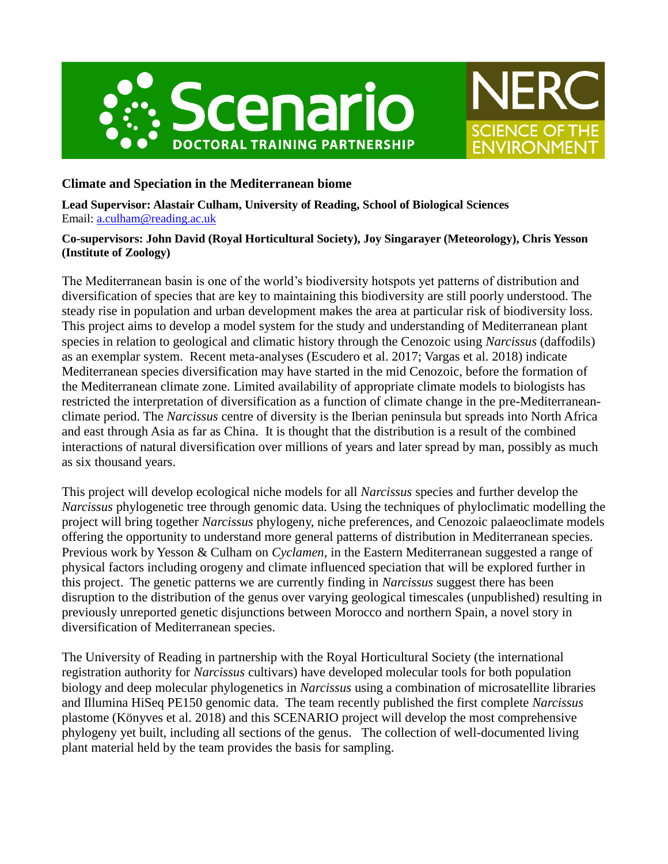



# **Climate and Speciation in the Mediterranean biome**

**Lead Supervisor: Alastair Culham, University of Reading, School of Biological Sciences** Email: [a.culham@reading.ac.uk](mailto:a.culham@reading.ac.uk)

#### **Co-supervisors: John David (Royal Horticultural Society), Joy Singarayer (Meteorology), Chris Yesson (Institute of Zoology)**

The Mediterranean basin is one of the world's biodiversity hotspots yet patterns of distribution and diversification of species that are key to maintaining this biodiversity are still poorly understood. The steady rise in population and urban development makes the area at particular risk of biodiversity loss. This project aims to develop a model system for the study and understanding of Mediterranean plant species in relation to geological and climatic history through the Cenozoic using *Narcissus* (daffodils) as an exemplar system. Recent meta-analyses (Escudero et al. 2017; Vargas et al. 2018) indicate Mediterranean species diversification may have started in the mid Cenozoic, before the formation of the Mediterranean climate zone. Limited availability of appropriate climate models to biologists has restricted the interpretation of diversification as a function of climate change in the pre-Mediterraneanclimate period. The *Narcissus* centre of diversity is the Iberian peninsula but spreads into North Africa and east through Asia as far as China. It is thought that the distribution is a result of the combined interactions of natural diversification over millions of years and later spread by man, possibly as much as six thousand years.

This project will develop ecological niche models for all *Narcissus* species and further develop the *Narcissus* phylogenetic tree through genomic data. Using the techniques of phyloclimatic modelling the project will bring together *Narcissus* phylogeny, niche preferences, and Cenozoic palaeoclimate models offering the opportunity to understand more general patterns of distribution in Mediterranean species. Previous work by Yesson & Culham on *Cyclamen*, in the Eastern Mediterranean suggested a range of physical factors including orogeny and climate influenced speciation that will be explored further in this project. The genetic patterns we are currently finding in *Narcissus* suggest there has been disruption to the distribution of the genus over varying geological timescales (unpublished) resulting in previously unreported genetic disjunctions between Morocco and northern Spain, a novel story in diversification of Mediterranean species.

The University of Reading in partnership with the Royal Horticultural Society (the international registration authority for *Narcissus* cultivars) have developed molecular tools for both population biology and deep molecular phylogenetics in *Narcissus* using a combination of microsatellite libraries and Illumina HiSeq PE150 genomic data. The team recently published the first complete *Narcissus* plastome (Könyves et al. 2018) and this SCENARIO project will develop the most comprehensive phylogeny yet built, including all sections of the genus. The collection of well-documented living plant material held by the team provides the basis for sampling.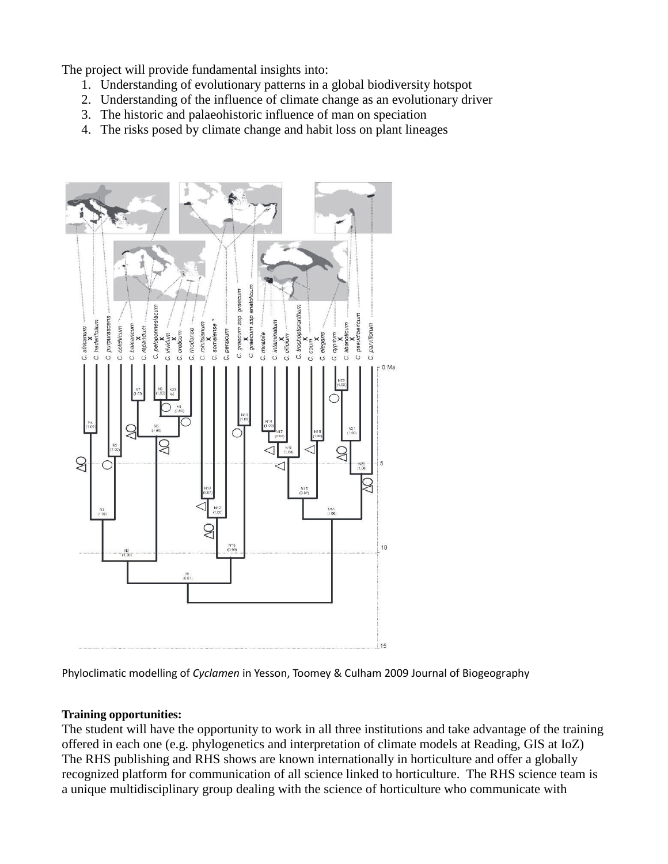The project will provide fundamental insights into:

- 1. Understanding of evolutionary patterns in a global biodiversity hotspot
- 2. Understanding of the influence of climate change as an evolutionary driver
- 3. The historic and palaeohistoric influence of man on speciation
- 4. The risks posed by climate change and habit loss on plant lineages



Phyloclimatic modelling of *Cyclamen* in Yesson, Toomey & Culham 2009 Journal of Biogeography

#### **Training opportunities:**

The student will have the opportunity to work in all three institutions and take advantage of the training offered in each one (e.g. phylogenetics and interpretation of climate models at Reading, GIS at IoZ) The RHS publishing and RHS shows are known internationally in horticulture and offer a globally recognized platform for communication of all science linked to horticulture. The RHS science team is a unique multidisciplinary group dealing with the science of horticulture who communicate with